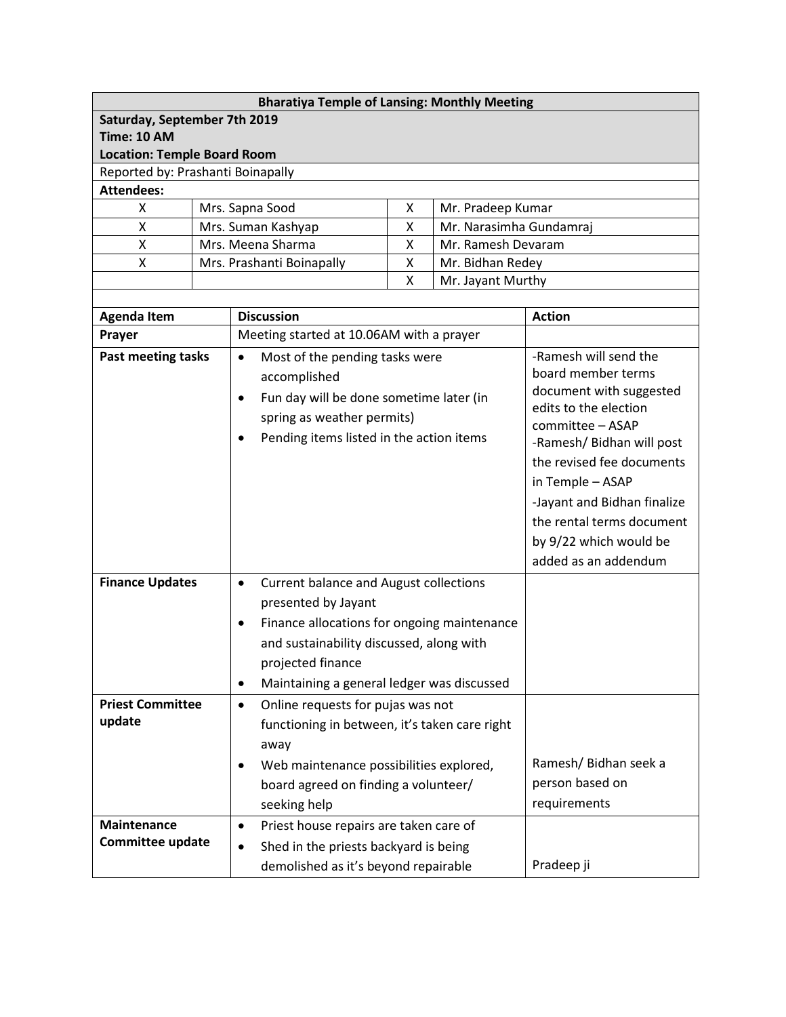| <b>Bharatiya Temple of Lansing: Monthly Meeting</b> |  |                                                            |                              |                    |                                               |  |  |
|-----------------------------------------------------|--|------------------------------------------------------------|------------------------------|--------------------|-----------------------------------------------|--|--|
| Saturday, September 7th 2019                        |  |                                                            |                              |                    |                                               |  |  |
| <b>Time: 10 AM</b>                                  |  |                                                            |                              |                    |                                               |  |  |
| <b>Location: Temple Board Room</b>                  |  |                                                            |                              |                    |                                               |  |  |
| Reported by: Prashanti Boinapally                   |  |                                                            |                              |                    |                                               |  |  |
| <b>Attendees:</b>                                   |  |                                                            |                              |                    |                                               |  |  |
| Mrs. Sapna Sood<br>x                                |  |                                                            | X                            | Mr. Pradeep Kumar  |                                               |  |  |
| Χ                                                   |  | Mrs. Suman Kashyap                                         | X<br>Mr. Narasimha Gundamraj |                    |                                               |  |  |
| Χ                                                   |  | Mrs. Meena Sharma<br>X                                     |                              | Mr. Ramesh Devaram |                                               |  |  |
| X                                                   |  | Mr. Bidhan Redey<br>Mrs. Prashanti Boinapally<br>X         |                              |                    |                                               |  |  |
|                                                     |  |                                                            | X                            | Mr. Jayant Murthy  |                                               |  |  |
|                                                     |  | <b>Discussion</b>                                          |                              |                    |                                               |  |  |
| <b>Agenda Item</b>                                  |  |                                                            |                              |                    | <b>Action</b>                                 |  |  |
| Prayer                                              |  | Meeting started at 10.06AM with a prayer                   |                              |                    |                                               |  |  |
| Past meeting tasks                                  |  | Most of the pending tasks were<br>$\bullet$                |                              |                    | -Ramesh will send the                         |  |  |
|                                                     |  | accomplished                                               |                              |                    | board member terms<br>document with suggested |  |  |
|                                                     |  | Fun day will be done sometime later (in<br>$\bullet$       |                              |                    | edits to the election                         |  |  |
|                                                     |  | spring as weather permits)                                 |                              |                    | committee - ASAP                              |  |  |
|                                                     |  | Pending items listed in the action items<br>$\bullet$      |                              |                    | -Ramesh/ Bidhan will post                     |  |  |
|                                                     |  |                                                            |                              |                    | the revised fee documents                     |  |  |
|                                                     |  |                                                            |                              |                    | in Temple - ASAP                              |  |  |
|                                                     |  |                                                            |                              |                    | -Jayant and Bidhan finalize                   |  |  |
|                                                     |  |                                                            |                              |                    | the rental terms document                     |  |  |
|                                                     |  |                                                            |                              |                    |                                               |  |  |
|                                                     |  |                                                            |                              |                    | by 9/22 which would be                        |  |  |
|                                                     |  |                                                            |                              |                    | added as an addendum                          |  |  |
| <b>Finance Updates</b>                              |  | <b>Current balance and August collections</b><br>$\bullet$ |                              |                    |                                               |  |  |
|                                                     |  | presented by Jayant                                        |                              |                    |                                               |  |  |
|                                                     |  | Finance allocations for ongoing maintenance<br>$\bullet$   |                              |                    |                                               |  |  |
|                                                     |  | and sustainability discussed, along with                   |                              |                    |                                               |  |  |
|                                                     |  | projected finance                                          |                              |                    |                                               |  |  |
|                                                     |  | Maintaining a general ledger was discussed<br>$\bullet$    |                              |                    |                                               |  |  |
| <b>Priest Committee</b>                             |  | Online requests for pujas was not<br>$\bullet$             |                              |                    |                                               |  |  |
| update                                              |  | functioning in between, it's taken care right              |                              |                    |                                               |  |  |
|                                                     |  | away                                                       |                              |                    |                                               |  |  |
|                                                     |  | Web maintenance possibilities explored,<br>٠               |                              |                    | Ramesh/ Bidhan seek a                         |  |  |
|                                                     |  | board agreed on finding a volunteer/                       |                              |                    | person based on                               |  |  |
|                                                     |  |                                                            |                              |                    | requirements                                  |  |  |
|                                                     |  | seeking help                                               |                              |                    |                                               |  |  |
| <b>Maintenance</b><br><b>Committee update</b>       |  | Priest house repairs are taken care of<br>$\bullet$        |                              |                    |                                               |  |  |
|                                                     |  | Shed in the priests backyard is being<br>$\bullet$         |                              |                    |                                               |  |  |
|                                                     |  | demolished as it's beyond repairable                       |                              |                    | Pradeep ji                                    |  |  |